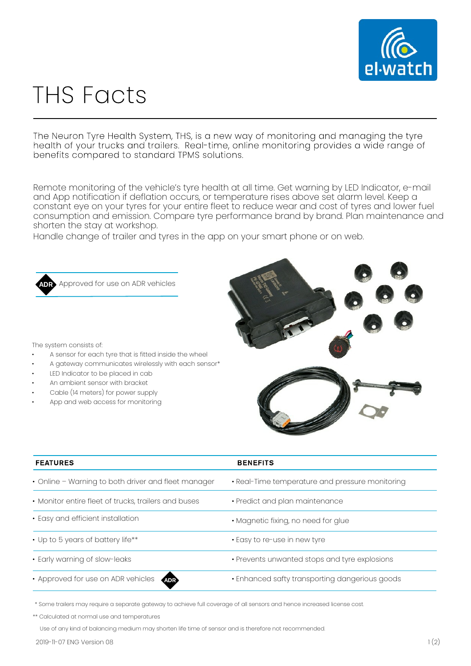

## **THS Facts**

The Neuron Tyre Health System, THS, is a new way of monitoring and managing the tyre health of your trucks and trailers. Real-time, online monitoring provides a wide range of benefits compared to standard TPMS solutions.

Remote monitoring of the vehicle's tyre health at all time. Get warning by LED Indicator, e-mail and App notification if deflation occurs, or temperature rises above set alarm level. Keep a constant eye on your tyres for your entire fleet to reduce wear and cost of tyres and lower fuel consumption and emission. Compare tyre performance brand by brand. Plan maintenance and shorten the stay at workshop.

Handle change of trailer and tyres in the app on your smart phone or on web.



Approved for use on ADR vehicles

The system consists of:

- A sensor for each tyre that is fitted inside the wheel
- A gateway communicates wirelessly with each sensor\*
- LED Indicator to be placed in cab
- An ambient sensor with bracket
- Cable (14 meters) for power supply
- App and web access for monitoring



| <b>FEATURES</b>                                      | <b>BENEFITS</b>                                 |
|------------------------------------------------------|-------------------------------------------------|
| • Online - Warning to both driver and fleet manager  | • Real-Time temperature and pressure monitoring |
| • Monitor entire fleet of trucks, trailers and buses | • Predict and plan maintenance                  |
| • Easy and efficient installation                    | • Magnetic fixing, no need for glue             |
| • Up to 5 years of battery life**                    | • Easy to re-use in new tyre                    |
| • Early warning of slow-leaks                        | • Prevents unwanted stops and tyre explosions   |
| • Approved for use on ADR vehicles<br><b>ADR</b>     | • Enhanced safty transporting dangerious goods  |

\* Some trailers may require a separate gateway to achieve full coverage of all sensors and hence increased license cost.

\*\* Calculated at normal use and temperatures

Use of any kind of balancing medium may shorten life time of sensor and is therefore not recommended.